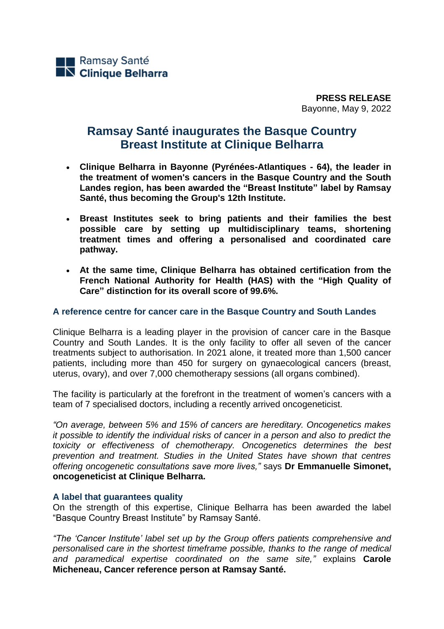**PRESS RELEASE** Bayonne, May 9, 2022

# **Ramsay Santé inaugurates the Basque Country Breast Institute at Clinique Belharra**

- **Clinique Belharra in Bayonne (Pyrénées-Atlantiques - 64), the leader in the treatment of women's cancers in the Basque Country and the South Landes region, has been awarded the "Breast Institute" label by Ramsay Santé, thus becoming the Group's 12th Institute.**
- **Breast Institutes seek to bring patients and their families the best possible care by setting up multidisciplinary teams, shortening treatment times and offering a personalised and coordinated care pathway.**
- **At the same time, Clinique Belharra has obtained certification from the French National Authority for Health (HAS) with the "High Quality of Care" distinction for its overall score of 99.6%.**

## **A reference centre for cancer care in the Basque Country and South Landes**

Clinique Belharra is a leading player in the provision of cancer care in the Basque Country and South Landes. It is the only facility to offer all seven of the cancer treatments subject to authorisation. In 2021 alone, it treated more than 1,500 cancer patients, including more than 450 for surgery on gynaecological cancers (breast, uterus, ovary), and over 7,000 chemotherapy sessions (all organs combined).

The facility is particularly at the forefront in the treatment of women's cancers with a team of 7 specialised doctors, including a recently arrived oncogeneticist.

*"On average, between 5% and 15% of cancers are hereditary. Oncogenetics makes it possible to identify the individual risks of cancer in a person and also to predict the toxicity or effectiveness of chemotherapy. Oncogenetics determines the best prevention and treatment. Studies in the United States have shown that centres offering oncogenetic consultations save more lives,"* says **Dr Emmanuelle Simonet, oncogeneticist at Clinique Belharra.** 

### **A label that guarantees quality**

On the strength of this expertise, Clinique Belharra has been awarded the label "Basque Country Breast Institute" by Ramsay Santé.

*"The 'Cancer Institute' label set up by the Group offers patients comprehensive and personalised care in the shortest timeframe possible, thanks to the range of medical and paramedical expertise coordinated on the same site,"* explains **Carole Micheneau, Cancer reference person at Ramsay Santé.**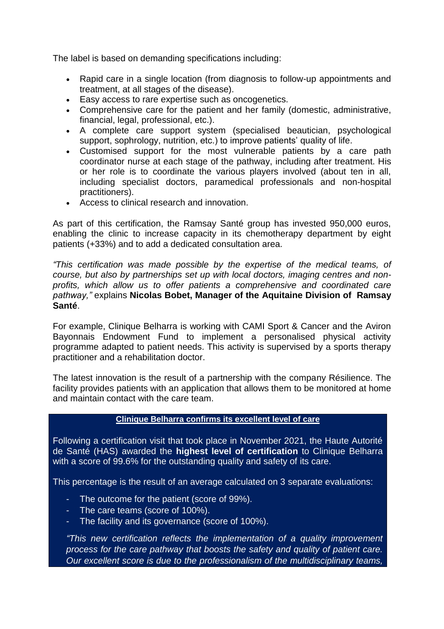The label is based on demanding specifications including:

- Rapid care in a single location (from diagnosis to follow-up appointments and treatment, at all stages of the disease).
- Easy access to rare expertise such as oncogenetics.
- Comprehensive care for the patient and her family (domestic, administrative, financial, legal, professional, etc.).
- A complete care support system (specialised beautician, psychological support, sophrology, nutrition, etc.) to improve patients' quality of life.
- Customised support for the most vulnerable patients by a care path coordinator nurse at each stage of the pathway, including after treatment. His or her role is to coordinate the various players involved (about ten in all, including specialist doctors, paramedical professionals and non-hospital practitioners).
- Access to clinical research and innovation.

As part of this certification, the Ramsay Santé group has invested 950,000 euros, enabling the clinic to increase capacity in its chemotherapy department by eight patients (+33%) and to add a dedicated consultation area.

*"This certification was made possible by the expertise of the medical teams, of course, but also by partnerships set up with local doctors, imaging centres and nonprofits, which allow us to offer patients a comprehensive and coordinated care pathway,"* explains **Nicolas Bobet, Manager of the Aquitaine Division of Ramsay Santé**.

For example, Clinique Belharra is working with CAMI Sport & Cancer and the Aviron Bayonnais Endowment Fund to implement a personalised physical activity programme adapted to patient needs. This activity is supervised by a sports therapy practitioner and a rehabilitation doctor.

The latest innovation is the result of a partnership with the company Résilience. The facility provides patients with an application that allows them to be monitored at home and maintain contact with the care team.

# **Clinique Belharra confirms its excellent level of care**

Following a certification visit that took place in November 2021, the Haute Autorité de Santé (HAS) awarded the **highest level of certification** to Clinique Belharra with a score of 99.6% for the outstanding quality and safety of its care.

This percentage is the result of an average calculated on 3 separate evaluations:

- The outcome for the patient (score of 99%).
- The care teams (score of 100%).
- The facility and its governance (score of 100%).

*"This new certification reflects the implementation of a quality improvement process for the care pathway that boosts the safety and quality of patient care. Our excellent score is due to the professionalism of the multidisciplinary teams,*